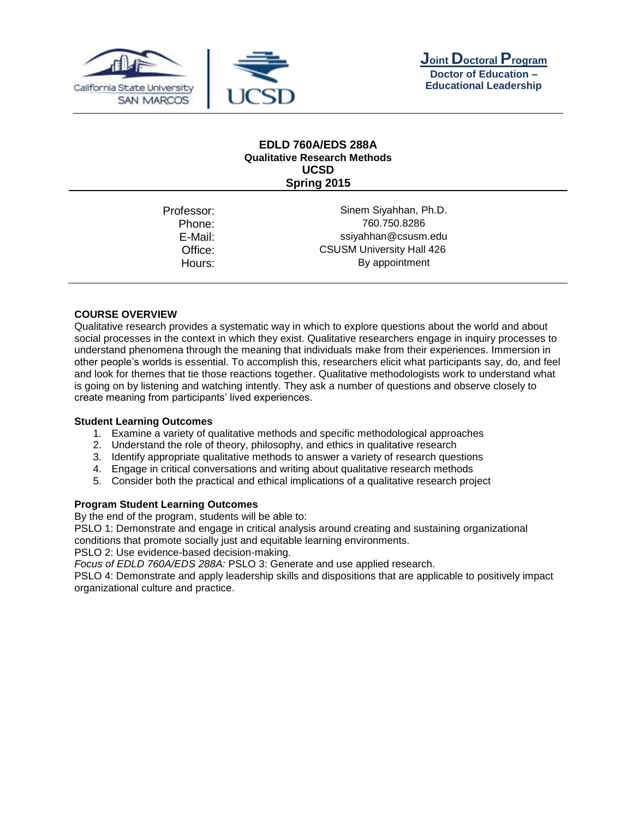





## **EDLD 760A/EDS 288A Qualitative Research Methods UCSD Spring 2015**

| Professor: | Sinem Siyahhan, Ph.D.            |
|------------|----------------------------------|
| Phone:     | 760.750.8286                     |
| E-Mail:    | ssiyahhan@csusm.edu              |
| Office:    | <b>CSUSM University Hall 426</b> |
| Hours:     | By appointment                   |
|            |                                  |

### **COURSE OVERVIEW**

Qualitative research provides a systematic way in which to explore questions about the world and about social processes in the context in which they exist. Qualitative researchers engage in inquiry processes to understand phenomena through the meaning that individuals make from their experiences. Immersion in other people's worlds is essential. To accomplish this, researchers elicit what participants say, do, and feel and look for themes that tie those reactions together. Qualitative methodologists work to understand what is going on by listening and watching intently. They ask a number of questions and observe closely to create meaning from participants' lived experiences.

### **Student Learning Outcomes**

- 1. Examine a variety of qualitative methods and specific methodological approaches
- 2. Understand the role of theory, philosophy, and ethics in qualitative research
- 3. Identify appropriate qualitative methods to answer a variety of research questions
- 4. Engage in critical conversations and writing about qualitative research methods
- 5. Consider both the practical and ethical implications of a qualitative research project

### **Program Student Learning Outcomes**

By the end of the program, students will be able to:

PSLO 1: Demonstrate and engage in critical analysis around creating and sustaining organizational conditions that promote socially just and equitable learning environments.

PSLO 2: Use evidence-based decision-making.

*Focus of EDLD 760A/EDS 288A:* PSLO 3: Generate and use applied research.

PSLO 4: Demonstrate and apply leadership skills and dispositions that are applicable to positively impact organizational culture and practice.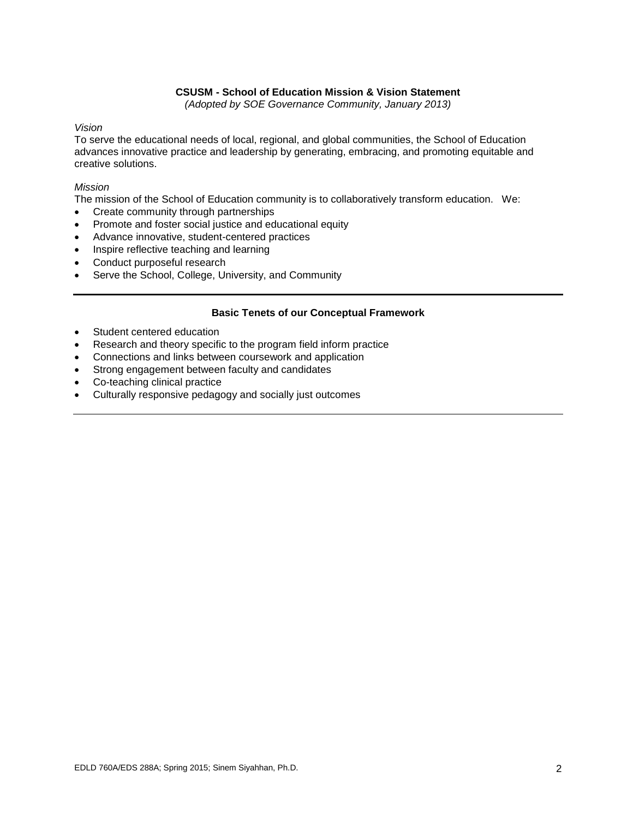## **CSUSM - School of Education Mission & Vision Statement**

*(Adopted by SOE Governance Community, January 2013)*

## *Vision*

To serve the educational needs of local, regional, and global communities, the School of Education advances innovative practice and leadership by generating, embracing, and promoting equitable and creative solutions.

## *Mission*

The mission of the School of Education community is to collaboratively transform education. We:

- Create community through partnerships
- Promote and foster social justice and educational equity
- Advance innovative, student-centered practices
- Inspire reflective teaching and learning
- Conduct purposeful research
- Serve the School, College, University, and Community

### **Basic Tenets of our Conceptual Framework**

- Student centered education
- Research and theory specific to the program field inform practice
- Connections and links between coursework and application
- Strong engagement between faculty and candidates
- Co-teaching clinical practice
- Culturally responsive pedagogy and socially just outcomes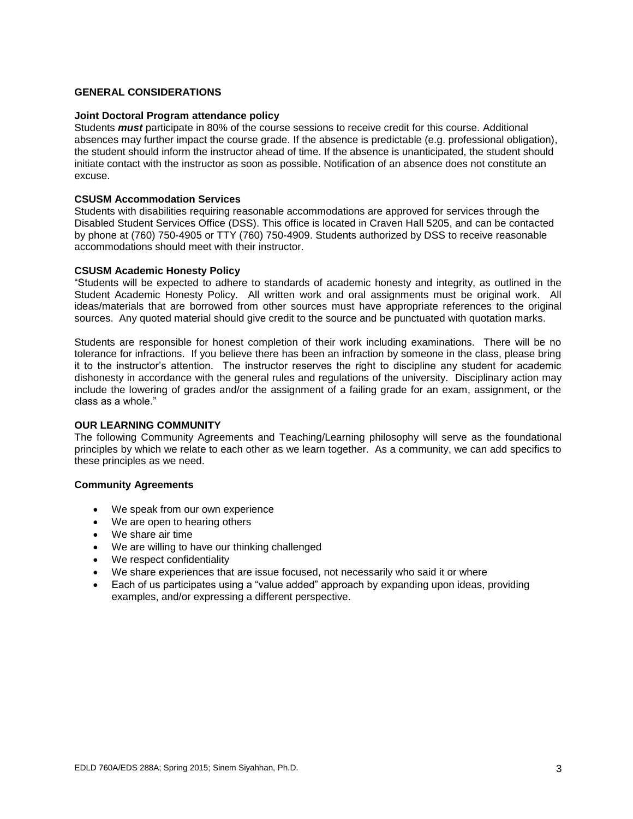## **GENERAL CONSIDERATIONS**

#### **Joint Doctoral Program attendance policy**

Students *must* participate in 80% of the course sessions to receive credit for this course. Additional absences may further impact the course grade. If the absence is predictable (e.g. professional obligation), the student should inform the instructor ahead of time. If the absence is unanticipated, the student should initiate contact with the instructor as soon as possible. Notification of an absence does not constitute an excuse.

#### **CSUSM Accommodation Services**

Students with disabilities requiring reasonable accommodations are approved for services through the Disabled Student Services Office (DSS). This office is located in Craven Hall 5205, and can be contacted by phone at (760) 750-4905 or TTY (760) 750-4909. Students authorized by DSS to receive reasonable accommodations should meet with their instructor.

### **CSUSM Academic Honesty Policy**

"Students will be expected to adhere to standards of academic honesty and integrity, as outlined in the Student Academic Honesty Policy. All written work and oral assignments must be original work. All ideas/materials that are borrowed from other sources must have appropriate references to the original sources. Any quoted material should give credit to the source and be punctuated with quotation marks.

Students are responsible for honest completion of their work including examinations. There will be no tolerance for infractions. If you believe there has been an infraction by someone in the class, please bring it to the instructor's attention. The instructor reserves the right to discipline any student for academic dishonesty in accordance with the general rules and regulations of the university. Disciplinary action may include the lowering of grades and/or the assignment of a failing grade for an exam, assignment, or the class as a whole."

#### **OUR LEARNING COMMUNITY**

The following Community Agreements and Teaching/Learning philosophy will serve as the foundational principles by which we relate to each other as we learn together. As a community, we can add specifics to these principles as we need.

#### **Community Agreements**

- We speak from our own experience
- We are open to hearing others
- We share air time
- We are willing to have our thinking challenged
- We respect confidentiality
- We share experiences that are issue focused, not necessarily who said it or where
- Each of us participates using a "value added" approach by expanding upon ideas, providing examples, and/or expressing a different perspective.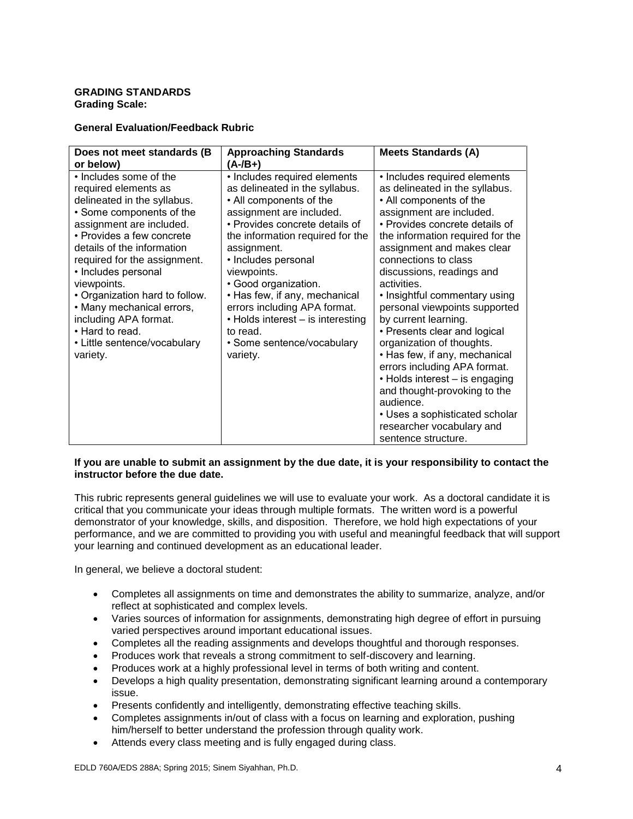### **GRADING STANDARDS Grading Scale:**

## **General Evaluation/Feedback Rubric**

| Does not meet standards (B)<br>or below)                                                                                                                                                                                                                                                                                                                                                                                      | <b>Approaching Standards</b><br>(A-/B+)                                                                                                                                                                                                                                                                                                                                                                                              | <b>Meets Standards (A)</b>                                                                                                                                                                                                                                                                                                                                                                                                                                                                                                                                                                                                                                                                 |
|-------------------------------------------------------------------------------------------------------------------------------------------------------------------------------------------------------------------------------------------------------------------------------------------------------------------------------------------------------------------------------------------------------------------------------|--------------------------------------------------------------------------------------------------------------------------------------------------------------------------------------------------------------------------------------------------------------------------------------------------------------------------------------------------------------------------------------------------------------------------------------|--------------------------------------------------------------------------------------------------------------------------------------------------------------------------------------------------------------------------------------------------------------------------------------------------------------------------------------------------------------------------------------------------------------------------------------------------------------------------------------------------------------------------------------------------------------------------------------------------------------------------------------------------------------------------------------------|
| • Includes some of the<br>required elements as<br>delineated in the syllabus.<br>• Some components of the<br>assignment are included.<br>• Provides a few concrete<br>details of the information<br>required for the assignment.<br>• Includes personal<br>viewpoints.<br>• Organization hard to follow.<br>• Many mechanical errors,<br>including APA format.<br>• Hard to read.<br>• Little sentence/vocabulary<br>variety. | • Includes required elements<br>as delineated in the syllabus.<br>• All components of the<br>assignment are included.<br>• Provides concrete details of<br>the information required for the<br>assignment.<br>• Includes personal<br>viewpoints.<br>• Good organization.<br>• Has few, if any, mechanical<br>errors including APA format.<br>• Holds interest – is interesting<br>to read.<br>• Some sentence/vocabulary<br>variety. | • Includes required elements<br>as delineated in the syllabus.<br>• All components of the<br>assignment are included.<br>• Provides concrete details of<br>the information required for the<br>assignment and makes clear<br>connections to class<br>discussions, readings and<br>activities.<br>• Insightful commentary using<br>personal viewpoints supported<br>by current learning.<br>• Presents clear and logical<br>organization of thoughts.<br>• Has few, if any, mechanical<br>errors including APA format.<br>• Holds interest – is engaging<br>and thought-provoking to the<br>audience.<br>• Uses a sophisticated scholar<br>researcher vocabulary and<br>sentence structure. |

### **If you are unable to submit an assignment by the due date, it is your responsibility to contact the instructor before the due date.**

This rubric represents general guidelines we will use to evaluate your work. As a doctoral candidate it is critical that you communicate your ideas through multiple formats. The written word is a powerful demonstrator of your knowledge, skills, and disposition. Therefore, we hold high expectations of your performance, and we are committed to providing you with useful and meaningful feedback that will support your learning and continued development as an educational leader.

In general, we believe a doctoral student:

- Completes all assignments on time and demonstrates the ability to summarize, analyze, and/or reflect at sophisticated and complex levels.
- Varies sources of information for assignments, demonstrating high degree of effort in pursuing varied perspectives around important educational issues.
- Completes all the reading assignments and develops thoughtful and thorough responses.
- Produces work that reveals a strong commitment to self-discovery and learning.
- Produces work at a highly professional level in terms of both writing and content.
- Develops a high quality presentation, demonstrating significant learning around a contemporary issue.
- Presents confidently and intelligently, demonstrating effective teaching skills.
- Completes assignments in/out of class with a focus on learning and exploration, pushing him/herself to better understand the profession through quality work.
- Attends every class meeting and is fully engaged during class.

EDLD 760A/EDS 288A; Spring 2015; Sinem Siyahhan, Ph.D. 4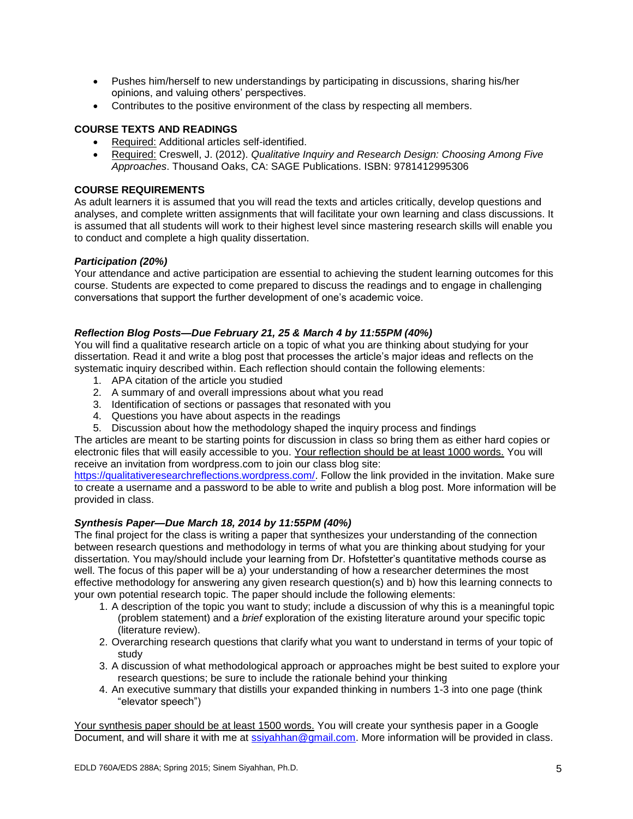- Pushes him/herself to new understandings by participating in discussions, sharing his/her opinions, and valuing others' perspectives.
- Contributes to the positive environment of the class by respecting all members.

## **COURSE TEXTS AND READINGS**

- Required: Additional articles self-identified.
- Required: Creswell, J. (2012). *Qualitative Inquiry and Research Design: Choosing Among Five Approaches*. Thousand Oaks, CA: SAGE Publications. ISBN: 9781412995306

## **COURSE REQUIREMENTS**

As adult learners it is assumed that you will read the texts and articles critically, develop questions and analyses, and complete written assignments that will facilitate your own learning and class discussions. It is assumed that all students will work to their highest level since mastering research skills will enable you to conduct and complete a high quality dissertation.

## *Participation (20%)*

Your attendance and active participation are essential to achieving the student learning outcomes for this course. Students are expected to come prepared to discuss the readings and to engage in challenging conversations that support the further development of one's academic voice.

### *Reflection Blog Posts—Due February 21, 25 & March 4 by 11:55PM (40%)*

You will find a qualitative research article on a topic of what you are thinking about studying for your dissertation. Read it and write a blog post that processes the article's major ideas and reflects on the systematic inquiry described within. Each reflection should contain the following elements:

- 1. APA citation of the article you studied
- 2. A summary of and overall impressions about what you read
- 3. Identification of sections or passages that resonated with you
- 4. Questions you have about aspects in the readings
- 5. Discussion about how the methodology shaped the inquiry process and findings

The articles are meant to be starting points for discussion in class so bring them as either hard copies or electronic files that will easily accessible to you. Your reflection should be at least 1000 words. You will receive an invitation from wordpress.com to join our class blog site:

[https://qualitativeresearchreflections.wordpress.com/.](https://qualitativeresearchreflections.wordpress.com/) Follow the link provided in the invitation. Make sure to create a username and a password to be able to write and publish a blog post. More information will be provided in class.

### *Synthesis Paper—Due March 18, 2014 by 11:55PM (40%)*

The final project for the class is writing a paper that synthesizes your understanding of the connection between research questions and methodology in terms of what you are thinking about studying for your dissertation. You may/should include your learning from Dr. Hofstetter's quantitative methods course as well. The focus of this paper will be a) your understanding of how a researcher determines the most effective methodology for answering any given research question(s) and b) how this learning connects to your own potential research topic. The paper should include the following elements:

- 1. A description of the topic you want to study; include a discussion of why this is a meaningful topic (problem statement) and a *brief* exploration of the existing literature around your specific topic (literature review).
- 2. Overarching research questions that clarify what you want to understand in terms of your topic of study
- 3. A discussion of what methodological approach or approaches might be best suited to explore your research questions; be sure to include the rationale behind your thinking
- 4. An executive summary that distills your expanded thinking in numbers 1-3 into one page (think "elevator speech")

Your synthesis paper should be at least 1500 words. You will create your synthesis paper in a Google Document, and will share it with me at [ssiyahhan@gmail.com.](mailto:ssiyahhan@gmail.com) More information will be provided in class.